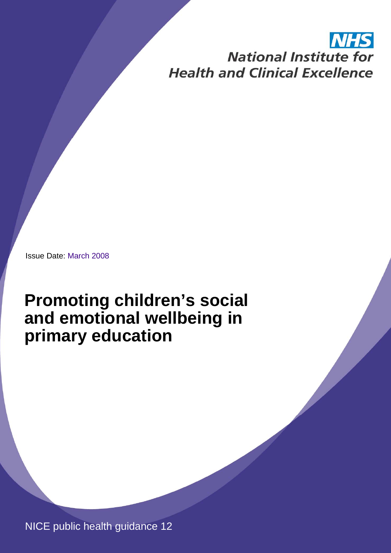# **National Institute for Health and Clinical Excellence**

Issue Date: March 2008

# **Promoting children's social and emotional wellbeing in primary education**

NICE public health guidance 12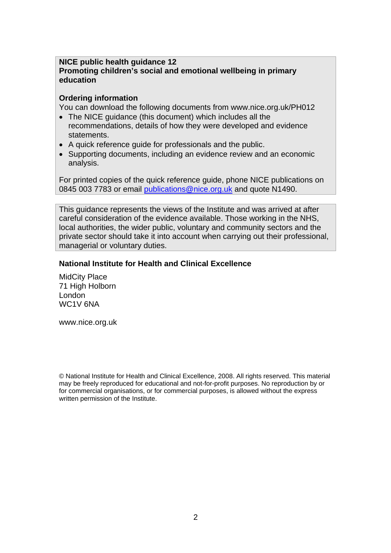#### **NICE public health guidance 12 Promoting children's social and emotional wellbeing in primary education**

#### **Ordering information**

You can download the following documents from www.nice.org.uk/PH012

- The NICE guidance (this document) which includes all the recommendations, details of how they were developed and evidence statements.
- A quick reference guide for professionals and the public.
- Supporting documents, including an evidence review and an economic analysis.

For printed copies of the quick reference guide, phone NICE publications on 0845 003 7783 or email publications@nice.org.uk and quote N1490.

This guidance represents the views of the Institute and was arrived at after careful consideration of the evidence available. Those working in the NHS, local authorities, the wider public, voluntary and community sectors and the private sector should take it into account when carrying out their professional, managerial or voluntary duties.

#### **National Institute for Health and Clinical Excellence**

MidCity Place 71 High Holborn London WC1V 6NA

www.nice.org.uk

© National Institute for Health and Clinical Excellence, 2008. All rights reserved. This material may be freely reproduced for educational and not-for-profit purposes. No reproduction by or for commercial organisations, or for commercial purposes, is allowed without the express written permission of the Institute.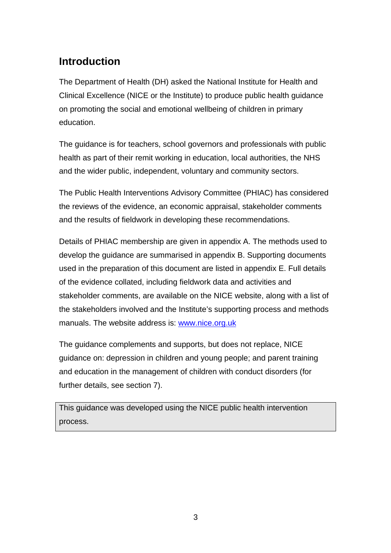# **Introduction**

The Department of Health (DH) asked the National Institute for Health and Clinical Excellence (NICE or the Institute) to produce public health guidance on promoting the social and emotional wellbeing of children in primary education.

The guidance is for teachers, school governors and professionals with public health as part of their remit working in education, local authorities, the NHS and the wider public, independent, voluntary and community sectors.

The Public Health Interventions Advisory Committee (PHIAC) has considered the reviews of the evidence, an economic appraisal, stakeholder comments and the results of fieldwork in developing these recommendations.

Details of PHIAC membership are given in appendix A. The methods used to develop the guidance are summarised in appendix B. Supporting documents used in the preparation of this document are listed in appendix E. Full details of the evidence collated, including fieldwork data and activities and stakeholder comments, are available on the NICE website, along with a list of the stakeholders involved and the Institute's supporting process and methods manuals. The website address is: www.nice.org.uk

The guidance complements and supports, but does not replace, NICE guidance on: depression in children and young people; and parent training and education in the management of children with conduct disorders (for further details, see section 7).

This guidance was developed using the NICE public health intervention process.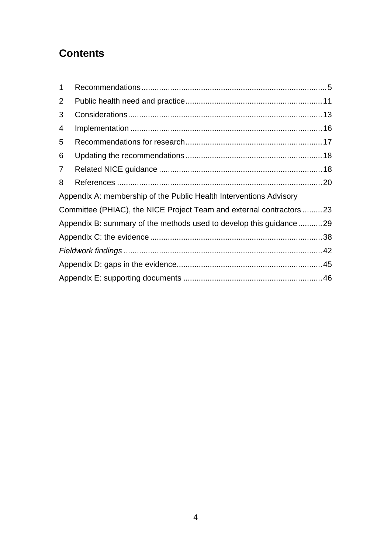# **Contents**

| $\mathbf 1$                                                          |  |  |
|----------------------------------------------------------------------|--|--|
| 2                                                                    |  |  |
| 3                                                                    |  |  |
| 4                                                                    |  |  |
| 5                                                                    |  |  |
| 6                                                                    |  |  |
| $\overline{7}$                                                       |  |  |
| 8                                                                    |  |  |
| Appendix A: membership of the Public Health Interventions Advisory   |  |  |
| Committee (PHIAC), the NICE Project Team and external contractors 23 |  |  |
| Appendix B: summary of the methods used to develop this guidance29   |  |  |
|                                                                      |  |  |
|                                                                      |  |  |
|                                                                      |  |  |
|                                                                      |  |  |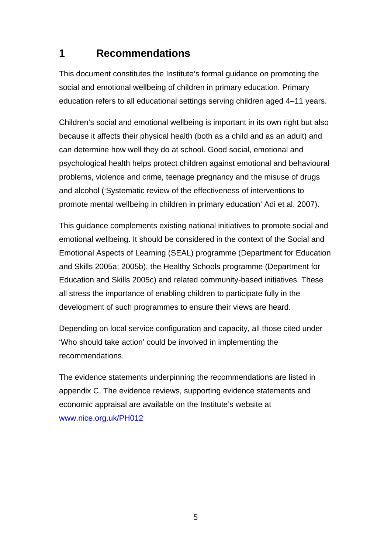# **1 Recommendations**

This document constitutes the Institute's formal guidance on promoting the social and emotional wellbeing of children in primary education. Primary education refers to all educational settings serving children aged 4–11 years.

Children's social and emotional wellbeing is important in its own right but also because it affects their physical health (both as a child and as an adult) and can determine how well they do at school. Good social, emotional and psychological health helps protect children against emotional and behavioural problems, violence and crime, teenage pregnancy and the misuse of drugs and alcohol ('Systematic review of the effectiveness of interventions to promote mental wellbeing in children in primary education' Adi et al. 2007).

This guidance complements existing national initiatives to promote social and emotional wellbeing. It should be considered in the context of the Social and Emotional Aspects of Learning (SEAL) programme (Department for Education and Skills 2005a; 2005b), the Healthy Schools programme (Department for Education and Skills 2005c) and related community-based initiatives. These all stress the importance of enabling children to participate fully in the development of such programmes to ensure their views are heard.

Depending on local service configuration and capacity, all those cited under 'Who should take action' could be involved in implementing the recommendations.

The evidence statements underpinning the recommendations are listed in appendix C. The evidence reviews, supporting evidence statements and economic appraisal are available on the Institute's website at www.nice.org.uk/PH012

 $5<sup>th</sup>$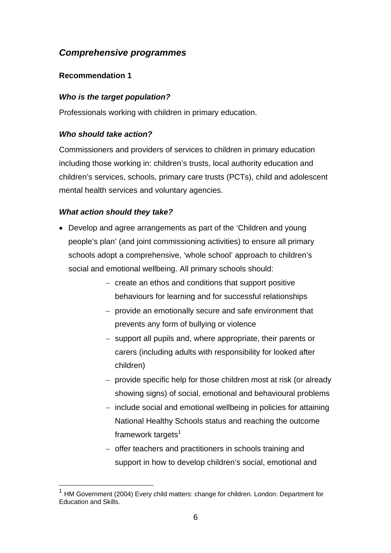# *Comprehensive programmes*

### **Recommendation 1**

### *Who is the target population?*

Professionals working with children in primary education.

### *Who should take action?*

Commissioners and providers of services to children in primary education including those working in: children's trusts, local authority education and children's services, schools, primary care trusts (PCTs), child and adolescent mental health services and voluntary agencies.

### *What action should they take?*

 $\overline{a}$ 

- Develop and agree arrangements as part of the 'Children and young people's plan' (and joint commissioning activities) to ensure all primary schools adopt a comprehensive, 'whole school' approach to children's social and emotional wellbeing. All primary schools should:
	- − create an ethos and conditions that support positive behaviours for learning and for successful relationships
	- − provide an emotionally secure and safe environment that prevents any form of bullying or violence
	- − support all pupils and, where appropriate, their parents or carers (including adults with responsibility for looked after children)
	- − provide specific help for those children most at risk (or already showing signs) of social, emotional and behavioural problems
	- − include social and emotional wellbeing in policies for attaining National Healthy Schools status and reaching the outcome framework targets $1$
	- − offer teachers and practitioners in schools training and support in how to develop children's social, emotional and

 $1$  HM Government (2004) Every child matters: change for children. London: Department for Education and Skills.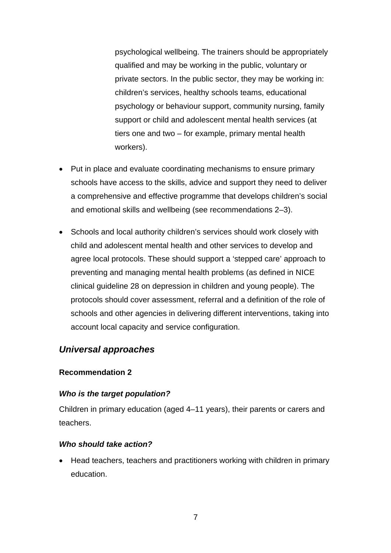psychological wellbeing. The trainers should be appropriately qualified and may be working in the public, voluntary or private sectors. In the public sector, they may be working in: children's services, healthy schools teams, educational psychology or behaviour support, community nursing, family support or child and adolescent mental health services (at tiers one and two – for example, primary mental health workers).

- Put in place and evaluate coordinating mechanisms to ensure primary schools have access to the skills, advice and support they need to deliver a comprehensive and effective programme that develops children's social and emotional skills and wellbeing (see recommendations 2–3).
- Schools and local authority children's services should work closely with child and adolescent mental health and other services to develop and agree local protocols. These should support a 'stepped care' approach to preventing and managing mental health problems (as defined in NICE clinical guideline 28 on depression in children and young people). The protocols should cover assessment, referral and a definition of the role of schools and other agencies in delivering different interventions, taking into account local capacity and service configuration.

## *Universal approaches*

#### **Recommendation 2**

### *Who is the target population?*

Children in primary education (aged 4–11 years), their parents or carers and teachers.

#### *Who should take action?*

• Head teachers, teachers and practitioners working with children in primary education.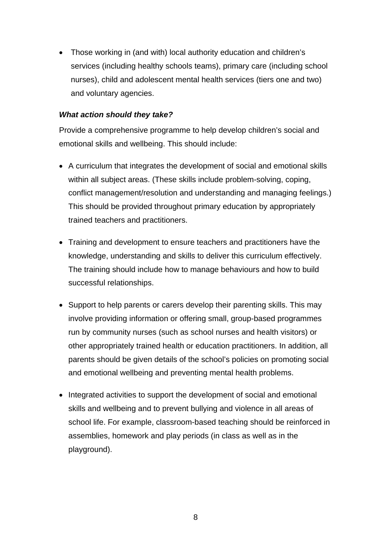• Those working in (and with) local authority education and children's services (including healthy schools teams), primary care (including school nurses), child and adolescent mental health services (tiers one and two) and voluntary agencies.

#### *What action should they take?*

Provide a comprehensive programme to help develop children's social and emotional skills and wellbeing. This should include:

- A curriculum that integrates the development of social and emotional skills within all subject areas. (These skills include problem-solving, coping, conflict management/resolution and understanding and managing feelings.) This should be provided throughout primary education by appropriately trained teachers and practitioners.
- Training and development to ensure teachers and practitioners have the knowledge, understanding and skills to deliver this curriculum effectively. The training should include how to manage behaviours and how to build successful relationships.
- Support to help parents or carers develop their parenting skills. This may involve providing information or offering small, group-based programmes run by community nurses (such as school nurses and health visitors) or other appropriately trained health or education practitioners. In addition, all parents should be given details of the school's policies on promoting social and emotional wellbeing and preventing mental health problems.
- Integrated activities to support the development of social and emotional skills and wellbeing and to prevent bullying and violence in all areas of school life. For example, classroom-based teaching should be reinforced in assemblies, homework and play periods (in class as well as in the playground).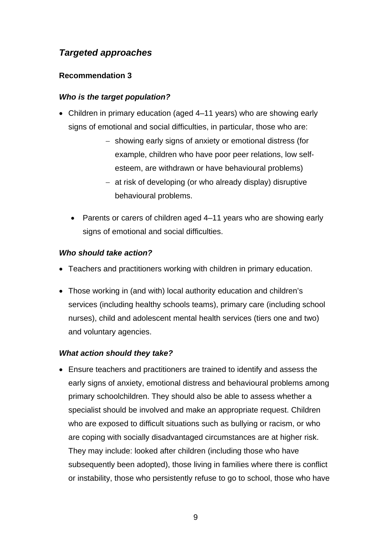# *Targeted approaches*

### **Recommendation 3**

### *Who is the target population?*

- Children in primary education (aged 4–11 years) who are showing early signs of emotional and social difficulties, in particular, those who are:
	- − showing early signs of anxiety or emotional distress (for example, children who have poor peer relations, low selfesteem, are withdrawn or have behavioural problems)
	- − at risk of developing (or who already display) disruptive behavioural problems.
	- Parents or carers of children aged 4–11 years who are showing early signs of emotional and social difficulties.

### *Who should take action?*

- Teachers and practitioners working with children in primary education.
- Those working in (and with) local authority education and children's services (including healthy schools teams), primary care (including school nurses), child and adolescent mental health services (tiers one and two) and voluntary agencies.

## *What action should they take?*

• Ensure teachers and practitioners are trained to identify and assess the early signs of anxiety, emotional distress and behavioural problems among primary schoolchildren. They should also be able to assess whether a specialist should be involved and make an appropriate request. Children who are exposed to difficult situations such as bullying or racism, or who are coping with socially disadvantaged circumstances are at higher risk. They may include: looked after children (including those who have subsequently been adopted), those living in families where there is conflict or instability, those who persistently refuse to go to school, those who have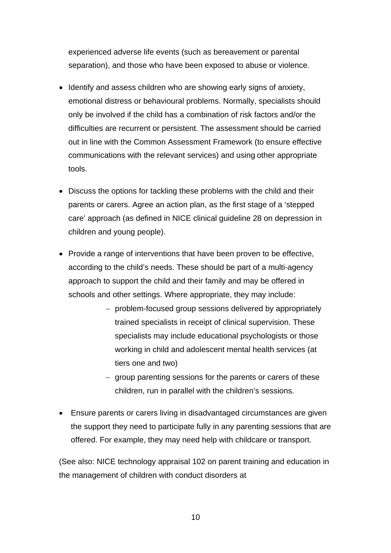experienced adverse life events (such as bereavement or parental separation), and those who have been exposed to abuse or violence.

- Identify and assess children who are showing early signs of anxiety, emotional distress or behavioural problems. Normally, specialists should only be involved if the child has a combination of risk factors and/or the difficulties are recurrent or persistent. The assessment should be carried out in line with the Common Assessment Framework (to ensure effective communications with the relevant services) and using other appropriate tools.
- Discuss the options for tackling these problems with the child and their parents or carers. Agree an action plan, as the first stage of a 'stepped care' approach (as defined in NICE clinical guideline 28 on depression in children and young people).
- Provide a range of interventions that have been proven to be effective, according to the child's needs. These should be part of a multi-agency approach to support the child and their family and may be offered in schools and other settings. Where appropriate, they may include:
	- − problem-focused group sessions delivered by appropriately trained specialists in receipt of clinical supervision. These specialists may include educational psychologists or those working in child and adolescent mental health services (at tiers one and two)
	- − group parenting sessions for the parents or carers of these children, run in parallel with the children's sessions.
- Ensure parents or carers living in disadvantaged circumstances are given the support they need to participate fully in any parenting sessions that are offered. For example, they may need help with childcare or transport.

(See also: NICE technology appraisal 102 on parent training and education in the management of children with conduct disorders at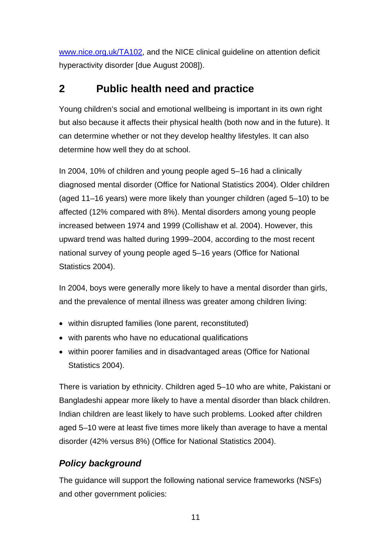www.nice.org.uk/TA102, and the NICE clinical guideline on attention deficit hyperactivity disorder [due August 2008]).

# **2 Public health need and practice**

Young children's social and emotional wellbeing is important in its own right but also because it affects their physical health (both now and in the future). It can determine whether or not they develop healthy lifestyles. It can also determine how well they do at school.

In 2004, 10% of children and young people aged 5–16 had a clinically diagnosed mental disorder (Office for National Statistics 2004). Older children (aged 11–16 years) were more likely than younger children (aged 5–10) to be affected (12% compared with 8%). Mental disorders among young people increased between 1974 and 1999 (Collishaw et al. 2004). However, this upward trend was halted during 1999–2004, according to the most recent national survey of young people aged 5–16 years (Office for National Statistics 2004).

In 2004, boys were generally more likely to have a mental disorder than girls, and the prevalence of mental illness was greater among children living:

- within disrupted families (lone parent, reconstituted)
- with parents who have no educational qualifications
- within poorer families and in disadvantaged areas (Office for National Statistics 2004).

There is variation by ethnicity. Children aged 5–10 who are white, Pakistani or Bangladeshi appear more likely to have a mental disorder than black children. Indian children are least likely to have such problems. Looked after children aged 5–10 were at least five times more likely than average to have a mental disorder (42% versus 8%) (Office for National Statistics 2004).

# *Policy background*

The guidance will support the following national service frameworks (NSFs) and other government policies: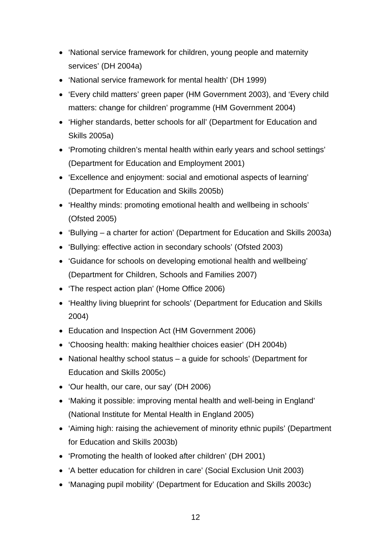- 'National service framework for children, young people and maternity services' (DH 2004a)
- 'National service framework for mental health' (DH 1999)
- 'Every child matters' green paper (HM Government 2003), and 'Every child matters: change for children' programme (HM Government 2004)
- 'Higher standards, better schools for all' (Department for Education and Skills 2005a)
- 'Promoting children's mental health within early years and school settings' (Department for Education and Employment 2001)
- 'Excellence and enjoyment: social and emotional aspects of learning' (Department for Education and Skills 2005b)
- 'Healthy minds: promoting emotional health and wellbeing in schools' (Ofsted 2005)
- 'Bullying a charter for action' (Department for Education and Skills 2003a)
- 'Bullying: effective action in secondary schools' (Ofsted 2003)
- 'Guidance for schools on developing emotional health and wellbeing' (Department for Children, Schools and Families 2007)
- 'The respect action plan' (Home Office 2006)
- 'Healthy living blueprint for schools' (Department for Education and Skills 2004)
- Education and Inspection Act (HM Government 2006)
- 'Choosing health: making healthier choices easier' (DH 2004b)
- National healthy school status a guide for schools' (Department for Education and Skills 2005c)
- 'Our health, our care, our say' (DH 2006)
- 'Making it possible: improving mental health and well-being in England' (National Institute for Mental Health in England 2005)
- 'Aiming high: raising the achievement of minority ethnic pupils' (Department for Education and Skills 2003b)
- 'Promoting the health of looked after children' (DH 2001)
- 'A better education for children in care' (Social Exclusion Unit 2003)
- 'Managing pupil mobility' (Department for Education and Skills 2003c)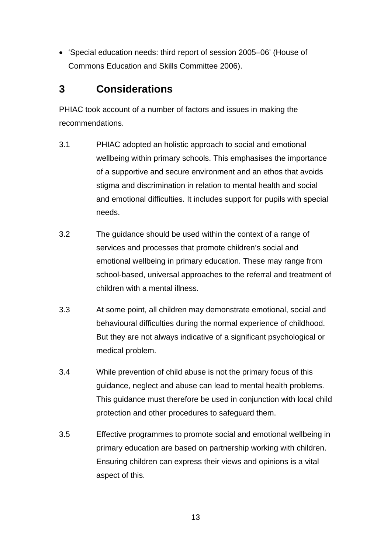• 'Special education needs: third report of session 2005–06' (House of Commons Education and Skills Committee 2006).

# **3 Considerations**

PHIAC took account of a number of factors and issues in making the recommendations.

- 3.1 PHIAC adopted an holistic approach to social and emotional wellbeing within primary schools. This emphasises the importance of a supportive and secure environment and an ethos that avoids stigma and discrimination in relation to mental health and social and emotional difficulties. It includes support for pupils with special needs.
- 3.2 The guidance should be used within the context of a range of services and processes that promote children's social and emotional wellbeing in primary education. These may range from school-based, universal approaches to the referral and treatment of children with a mental illness.
- 3.3 At some point, all children may demonstrate emotional, social and behavioural difficulties during the normal experience of childhood. But they are not always indicative of a significant psychological or medical problem.
- 3.4 While prevention of child abuse is not the primary focus of this guidance, neglect and abuse can lead to mental health problems. This guidance must therefore be used in conjunction with local child protection and other procedures to safeguard them.
- 3.5 Effective programmes to promote social and emotional wellbeing in primary education are based on partnership working with children. Ensuring children can express their views and opinions is a vital aspect of this.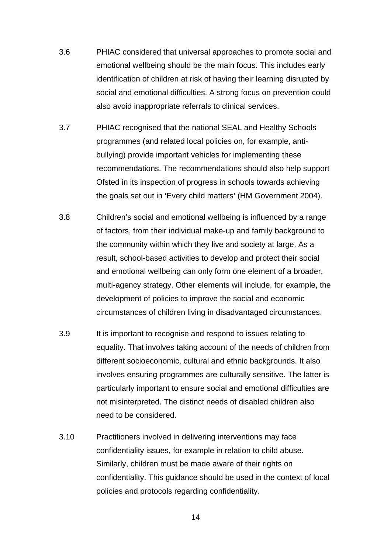- 3.6 PHIAC considered that universal approaches to promote social and emotional wellbeing should be the main focus. This includes early identification of children at risk of having their learning disrupted by social and emotional difficulties. A strong focus on prevention could also avoid inappropriate referrals to clinical services.
- 3.7 PHIAC recognised that the national SEAL and Healthy Schools programmes (and related local policies on, for example, antibullying) provide important vehicles for implementing these recommendations. The recommendations should also help support Ofsted in its inspection of progress in schools towards achieving the goals set out in 'Every child matters' (HM Government 2004).
- 3.8 Children's social and emotional wellbeing is influenced by a range of factors, from their individual make-up and family background to the community within which they live and society at large. As a result, school-based activities to develop and protect their social and emotional wellbeing can only form one element of a broader, multi-agency strategy. Other elements will include, for example, the development of policies to improve the social and economic circumstances of children living in disadvantaged circumstances.
- 3.9 It is important to recognise and respond to issues relating to equality. That involves taking account of the needs of children from different socioeconomic, cultural and ethnic backgrounds. It also involves ensuring programmes are culturally sensitive. The latter is particularly important to ensure social and emotional difficulties are not misinterpreted. The distinct needs of disabled children also need to be considered.
- 3.10 Practitioners involved in delivering interventions may face confidentiality issues, for example in relation to child abuse. Similarly, children must be made aware of their rights on confidentiality. This guidance should be used in the context of local policies and protocols regarding confidentiality.

 $14$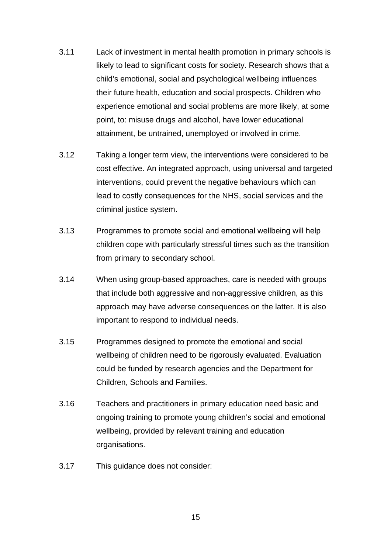- 3.11 Lack of investment in mental health promotion in primary schools is likely to lead to significant costs for society. Research shows that a child's emotional, social and psychological wellbeing influences their future health, education and social prospects. Children who experience emotional and social problems are more likely, at some point, to: misuse drugs and alcohol, have lower educational attainment, be untrained, unemployed or involved in crime.
- 3.12 Taking a longer term view, the interventions were considered to be cost effective. An integrated approach, using universal and targeted interventions, could prevent the negative behaviours which can lead to costly consequences for the NHS, social services and the criminal justice system.
- 3.13 Programmes to promote social and emotional wellbeing will help children cope with particularly stressful times such as the transition from primary to secondary school.
- 3.14 When using group-based approaches, care is needed with groups that include both aggressive and non-aggressive children, as this approach may have adverse consequences on the latter. It is also important to respond to individual needs.
- 3.15 Programmes designed to promote the emotional and social wellbeing of children need to be rigorously evaluated. Evaluation could be funded by research agencies and the Department for Children, Schools and Families.
- 3.16 Teachers and practitioners in primary education need basic and ongoing training to promote young children's social and emotional wellbeing, provided by relevant training and education organisations.
- 3.17 This guidance does not consider: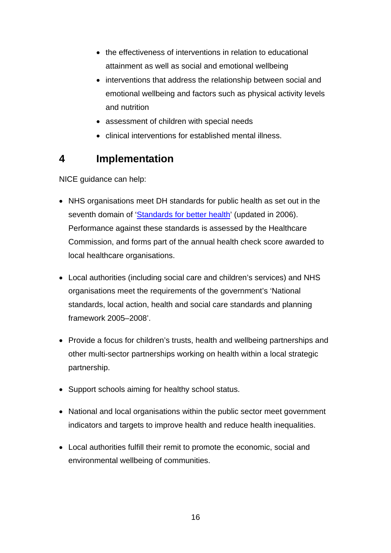- the effectiveness of interventions in relation to educational attainment as well as social and emotional wellbeing
- interventions that address the relationship between social and emotional wellbeing and factors such as physical activity levels and nutrition
- assessment of children with special needs
- clinical interventions for established mental illness.

# **4 Implementation**

NICE guidance can help:

- NHS organisations meet DH standards for public health as set out in the seventh domain of 'Standards for better health' (updated in 2006). Performance against these standards is assessed by the Healthcare Commission, and forms part of the annual health check score awarded to local healthcare organisations.
- Local authorities (including social care and children's services) and NHS organisations meet the requirements of the government's 'National standards, local action, health and social care standards and planning framework 2005–2008'.
- Provide a focus for children's trusts, health and wellbeing partnerships and other multi-sector partnerships working on health within a local strategic partnership.
- Support schools aiming for healthy school status.
- National and local organisations within the public sector meet government indicators and targets to improve health and reduce health inequalities.
- Local authorities fulfill their remit to promote the economic, social and environmental wellbeing of communities.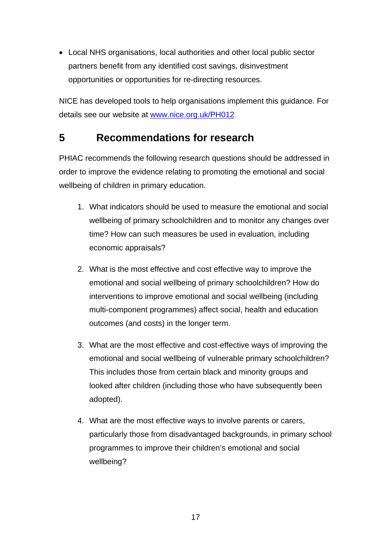• Local NHS organisations, local authorities and other local public sector partners benefit from any identified cost savings, disinvestment opportunities or opportunities for re-directing resources.

NICE has developed tools to help organisations implement this guidance. For details see our website at www.nice.org.uk/PH012

# **5 Recommendations for research**

PHIAC recommends the following research questions should be addressed in order to improve the evidence relating to promoting the emotional and social wellbeing of children in primary education.

- 1. What indicators should be used to measure the emotional and social wellbeing of primary schoolchildren and to monitor any changes over time? How can such measures be used in evaluation, including economic appraisals?
- 2. What is the most effective and cost effective way to improve the emotional and social wellbeing of primary schoolchildren? How do interventions to improve emotional and social wellbeing (including multi-component programmes) affect social, health and education outcomes (and costs) in the longer term.
- 3. What are the most effective and cost-effective ways of improving the emotional and social wellbeing of vulnerable primary schoolchildren? This includes those from certain black and minority groups and looked after children (including those who have subsequently been adopted).
- 4. What are the most effective ways to involve parents or carers, particularly those from disadvantaged backgrounds, in primary school programmes to improve their children's emotional and social wellbeing?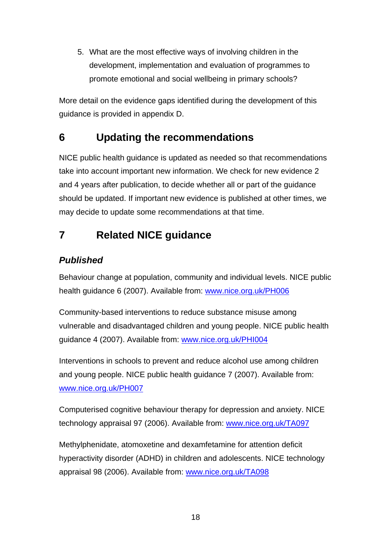5. What are the most effective ways of involving children in the development, implementation and evaluation of programmes to promote emotional and social wellbeing in primary schools?

More detail on the evidence gaps identified during the development of this guidance is provided in appendix D.

# **6 Updating the recommendations**

NICE public health guidance is updated as needed so that recommendations take into account important new information. We check for new evidence 2 and 4 years after publication, to decide whether all or part of the guidance should be updated. If important new evidence is published at other times, we may decide to update some recommendations at that time.

# **7 Related NICE guidance**

# *Published*

Behaviour change at population, community and individual levels. NICE public health guidance 6 (2007). Available from: www.nice.org.uk/PH006

Community-based interventions to reduce substance misuse among vulnerable and disadvantaged children and young people. NICE public health guidance 4 (2007). Available from: www.nice.org.uk/PHI004

Interventions in schools to prevent and reduce alcohol use among children and young people. NICE public health guidance 7 (2007). Available from: www.nice.org.uk/PH007

Computerised cognitive behaviour therapy for depression and anxiety. NICE technology appraisal 97 (2006). Available from: www.nice.org.uk/TA097

Methylphenidate, atomoxetine and dexamfetamine for attention deficit hyperactivity disorder (ADHD) in children and adolescents. NICE technology appraisal 98 (2006). Available from: www.nice.org.uk/TA098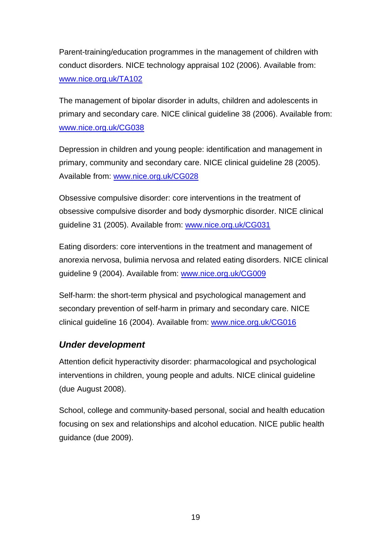Parent-training/education programmes in the management of children with conduct disorders. NICE technology appraisal 102 (2006). Available from: www.nice.org.uk/TA102

The management of bipolar disorder in adults, children and adolescents in primary and secondary care. NICE clinical guideline 38 (2006). Available from: www.nice.org.uk/CG038

Depression in children and young people: identification and management in primary, community and secondary care. NICE clinical guideline 28 (2005). Available from: www.nice.org.uk/CG028

Obsessive compulsive disorder: core interventions in the treatment of obsessive compulsive disorder and body dysmorphic disorder. NICE clinical guideline 31 (2005). Available from: www.nice.org.uk/CG031

Eating disorders: core interventions in the treatment and management of anorexia nervosa, bulimia nervosa and related eating disorders. NICE clinical guideline 9 (2004). Available from: www.nice.org.uk/CG009

Self-harm: the short-term physical and psychological management and secondary prevention of self-harm in primary and secondary care. NICE clinical guideline 16 (2004). Available from: www.nice.org.uk/CG016

# *Under development*

Attention deficit hyperactivity disorder: pharmacological and psychological interventions in children, young people and adults. NICE clinical guideline (due August 2008).

School, college and community-based personal, social and health education focusing on sex and relationships and alcohol education. NICE public health guidance (due 2009).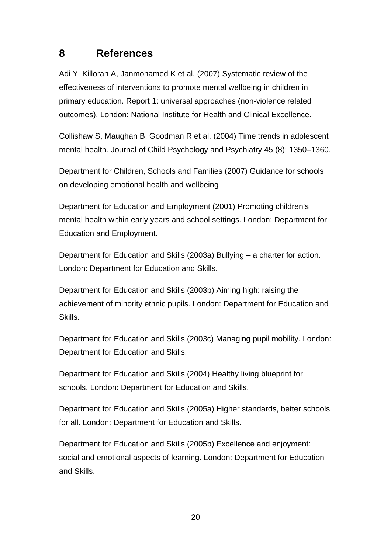# **8 References**

Adi Y, Killoran A, Janmohamed K et al. (2007) Systematic review of the effectiveness of interventions to promote mental wellbeing in children in primary education. Report 1: universal approaches (non-violence related outcomes). London: National Institute for Health and Clinical Excellence.

Collishaw S, Maughan B, Goodman R et al. (2004) Time trends in adolescent mental health. Journal of Child Psychology and Psychiatry 45 (8): 1350–1360.

Department for Children, Schools and Families (2007) Guidance for schools on developing emotional health and wellbeing

Department for Education and Employment (2001) Promoting children's mental health within early years and school settings. London: Department for Education and Employment.

Department for Education and Skills (2003a) Bullying – a charter for action. London: Department for Education and Skills.

Department for Education and Skills (2003b) Aiming high: raising the achievement of minority ethnic pupils. London: Department for Education and Skills.

Department for Education and Skills (2003c) Managing pupil mobility. London: Department for Education and Skills.

Department for Education and Skills (2004) Healthy living blueprint for schools. London: Department for Education and Skills.

Department for Education and Skills (2005a) Higher standards, better schools for all. London: Department for Education and Skills.

Department for Education and Skills (2005b) Excellence and enjoyment: social and emotional aspects of learning. London: Department for Education and Skills.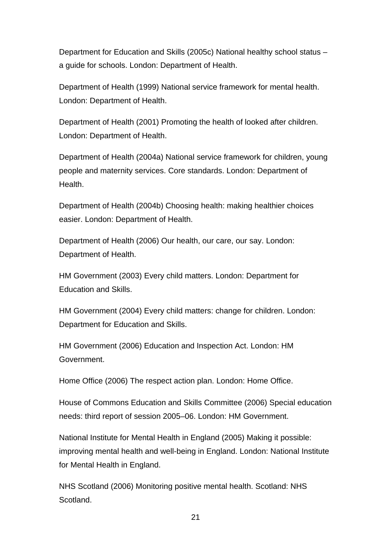Department for Education and Skills (2005c) National healthy school status – a guide for schools. London: Department of Health.

Department of Health (1999) National service framework for mental health. London: Department of Health.

Department of Health (2001) Promoting the health of looked after children. London: Department of Health.

Department of Health (2004a) National service framework for children, young people and maternity services. Core standards. London: Department of Health.

Department of Health (2004b) Choosing health: making healthier choices easier. London: Department of Health.

Department of Health (2006) Our health, our care, our say. London: Department of Health.

HM Government (2003) Every child matters. London: Department for Education and Skills.

HM Government (2004) Every child matters: change for children. London: Department for Education and Skills.

HM Government (2006) Education and Inspection Act. London: HM Government.

Home Office (2006) The respect action plan. London: Home Office.

House of Commons Education and Skills Committee (2006) Special education needs: third report of session 2005–06. London: HM Government.

National Institute for Mental Health in England (2005) Making it possible: improving mental health and well-being in England. London: National Institute for Mental Health in England.

NHS Scotland (2006) Monitoring positive mental health. Scotland: NHS Scotland.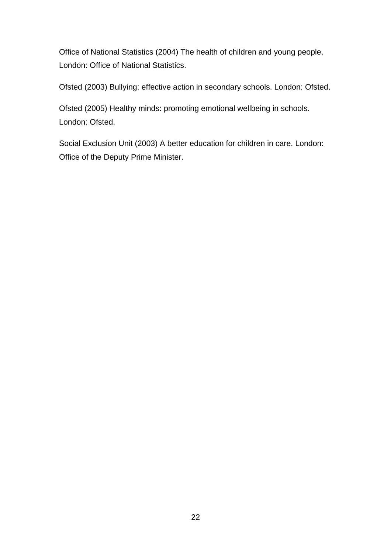Office of National Statistics (2004) The health of children and young people. London: Office of National Statistics.

Ofsted (2003) Bullying: effective action in secondary schools. London: Ofsted.

Ofsted (2005) Healthy minds: promoting emotional wellbeing in schools. London: Ofsted.

Social Exclusion Unit (2003) A better education for children in care. London: Office of the Deputy Prime Minister.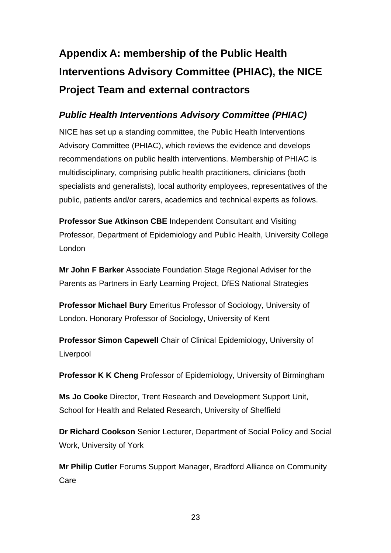# **Appendix A: membership of the Public Health Interventions Advisory Committee (PHIAC), the NICE Project Team and external contractors**

# *Public Health Interventions Advisory Committee (PHIAC)*

NICE has set up a standing committee, the Public Health Interventions Advisory Committee (PHIAC), which reviews the evidence and develops recommendations on public health interventions. Membership of PHIAC is multidisciplinary, comprising public health practitioners, clinicians (both specialists and generalists), local authority employees, representatives of the public, patients and/or carers, academics and technical experts as follows.

**Professor Sue Atkinson CBE** Independent Consultant and Visiting Professor, Department of Epidemiology and Public Health, University College London

**Mr John F Barker** Associate Foundation Stage Regional Adviser for the Parents as Partners in Early Learning Project, DfES National Strategies

**Professor Michael Bury** Emeritus Professor of Sociology, University of London. Honorary Professor of Sociology, University of Kent

**Professor Simon Capewell** Chair of Clinical Epidemiology, University of Liverpool

**Professor K K Cheng** Professor of Epidemiology, University of Birmingham

**Ms Jo Cooke** Director, Trent Research and Development Support Unit, School for Health and Related Research, University of Sheffield

**Dr Richard Cookson** Senior Lecturer, Department of Social Policy and Social Work, University of York

**Mr Philip Cutler** Forums Support Manager, Bradford Alliance on Community Care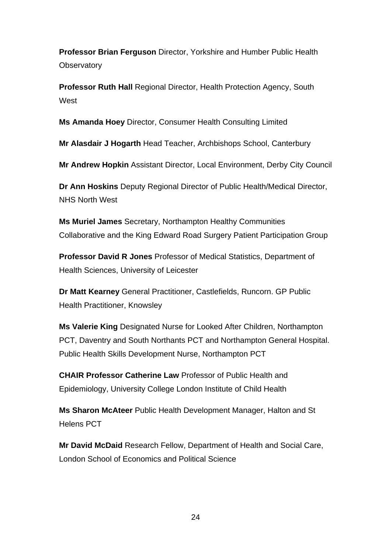**Professor Brian Ferguson** Director, Yorkshire and Humber Public Health **Observatory** 

**Professor Ruth Hall** Regional Director, Health Protection Agency, South **West** 

**Ms Amanda Hoey** Director, Consumer Health Consulting Limited

**Mr Alasdair J Hogarth** Head Teacher, Archbishops School, Canterbury

**Mr Andrew Hopkin** Assistant Director, Local Environment, Derby City Council

**Dr Ann Hoskins** Deputy Regional Director of Public Health/Medical Director, NHS North West

**Ms Muriel James** Secretary, Northampton Healthy Communities Collaborative and the King Edward Road Surgery Patient Participation Group

**Professor David R Jones** Professor of Medical Statistics, Department of Health Sciences, University of Leicester

**Dr Matt Kearney** General Practitioner, Castlefields, Runcorn. GP Public Health Practitioner, Knowsley

**Ms Valerie King** Designated Nurse for Looked After Children, Northampton PCT, Daventry and South Northants PCT and Northampton General Hospital. Public Health Skills Development Nurse, Northampton PCT

**CHAIR Professor Catherine Law** Professor of Public Health and Epidemiology, University College London Institute of Child Health

**Ms Sharon McAteer** Public Health Development Manager, Halton and St Helens PCT

**Mr David McDaid** Research Fellow, Department of Health and Social Care, London School of Economics and Political Science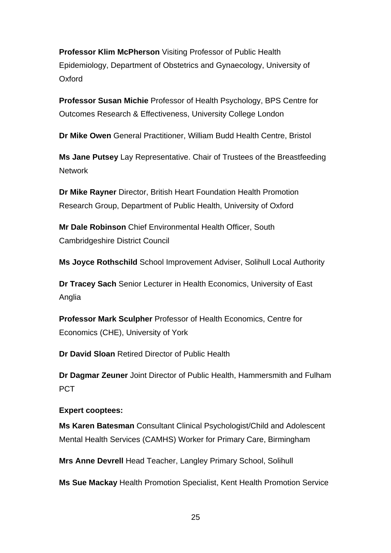**Professor Klim McPherson** Visiting Professor of Public Health Epidemiology, Department of Obstetrics and Gynaecology, University of Oxford

**Professor Susan Michie** Professor of Health Psychology, BPS Centre for Outcomes Research & Effectiveness, University College London

**Dr Mike Owen** General Practitioner, William Budd Health Centre, Bristol

**Ms Jane Putsey** Lay Representative. Chair of Trustees of the Breastfeeding **Network** 

**Dr Mike Rayner** Director, British Heart Foundation Health Promotion Research Group, Department of Public Health, University of Oxford

**Mr Dale Robinson** Chief Environmental Health Officer, South Cambridgeshire District Council

**Ms Joyce Rothschild** School Improvement Adviser, Solihull Local Authority

**Dr Tracey Sach** Senior Lecturer in Health Economics, University of East Anglia

**Professor Mark Sculpher** Professor of Health Economics, Centre for Economics (CHE), University of York

**Dr David Sloan** Retired Director of Public Health

**Dr Dagmar Zeuner** Joint Director of Public Health, Hammersmith and Fulham PCT

### **Expert cooptees:**

**Ms Karen Batesman** Consultant Clinical Psychologist/Child and Adolescent Mental Health Services (CAMHS) Worker for Primary Care, Birmingham

**Mrs Anne Devrell** Head Teacher, Langley Primary School, Solihull

**Ms Sue Mackay** Health Promotion Specialist, Kent Health Promotion Service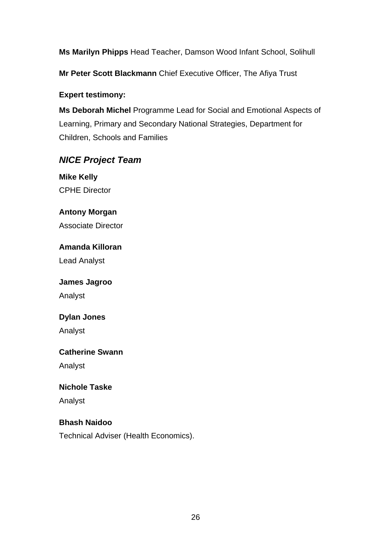**Ms Marilyn Phipps** Head Teacher, Damson Wood Infant School, Solihull

**Mr Peter Scott Blackmann** Chief Executive Officer, The Afiya Trust

### **Expert testimony:**

**Ms Deborah Michel** Programme Lead for Social and Emotional Aspects of Learning, Primary and Secondary National Strategies, Department for Children, Schools and Families

# *NICE Project Team*

**Mike Kelly** CPHE Director

**Antony Morgan** Associate Director

**Amanda Killoran** Lead Analyst

### **James Jagroo**

Analyst

### **Dylan Jones**

Analyst

### **Catherine Swann**

Analyst

## **Nichole Taske**

Analyst

### **Bhash Naidoo**

Technical Adviser (Health Economics).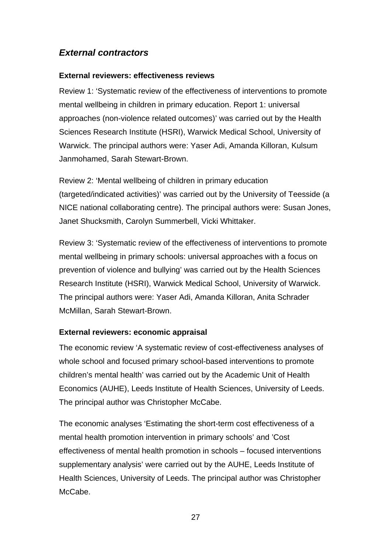# *External contractors*

#### **External reviewers: effectiveness reviews**

Review 1: 'Systematic review of the effectiveness of interventions to promote mental wellbeing in children in primary education. Report 1: universal approaches (non-violence related outcomes)' was carried out by the Health Sciences Research Institute (HSRI), Warwick Medical School, University of Warwick. The principal authors were: Yaser Adi, Amanda Killoran, Kulsum Janmohamed, Sarah Stewart-Brown.

Review 2: 'Mental wellbeing of children in primary education (targeted/indicated activities)' was carried out by the University of Teesside (a NICE national collaborating centre). The principal authors were: Susan Jones, Janet Shucksmith, Carolyn Summerbell, Vicki Whittaker.

Review 3: 'Systematic review of the effectiveness of interventions to promote mental wellbeing in primary schools: universal approaches with a focus on prevention of violence and bullying' was carried out by the Health Sciences Research Institute (HSRI), Warwick Medical School, University of Warwick. The principal authors were: Yaser Adi, Amanda Killoran, Anita Schrader McMillan, Sarah Stewart-Brown.

### **External reviewers: economic appraisal**

The economic review 'A systematic review of cost-effectiveness analyses of whole school and focused primary school-based interventions to promote children's mental health' was carried out by the Academic Unit of Health Economics (AUHE), Leeds Institute of Health Sciences, University of Leeds. The principal author was Christopher McCabe.

The economic analyses 'Estimating the short-term cost effectiveness of a mental health promotion intervention in primary schools' and 'Cost effectiveness of mental health promotion in schools – focused interventions supplementary analysis' were carried out by the AUHE, Leeds Institute of Health Sciences, University of Leeds. The principal author was Christopher McCabe.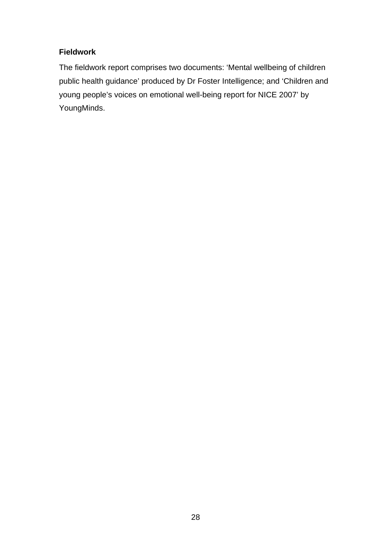## **Fieldwork**

The fieldwork report comprises two documents: 'Mental wellbeing of children public health guidance' produced by Dr Foster Intelligence; and 'Children and young people's voices on emotional well-being report for NICE 2007' by YoungMinds.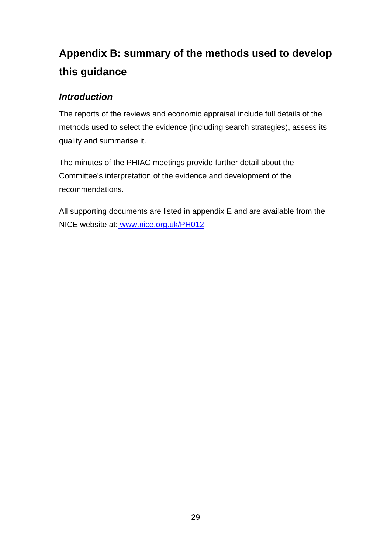# **Appendix B: summary of the methods used to develop this guidance**

# *Introduction*

The reports of the reviews and economic appraisal include full details of the methods used to select the evidence (including search strategies), assess its quality and summarise it.

The minutes of the PHIAC meetings provide further detail about the Committee's interpretation of the evidence and development of the recommendations.

All supporting documents are listed in appendix E and are available from the NICE website at: www.nice.org.uk/PH012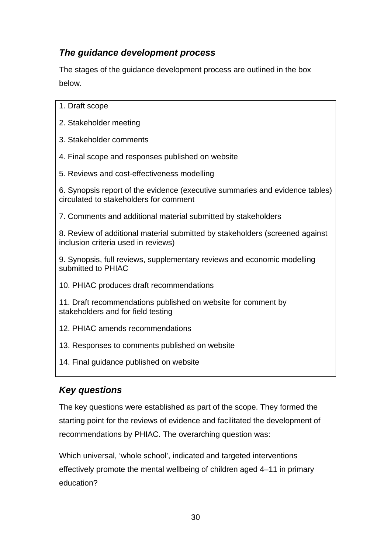# *The guidance development process*

The stages of the guidance development process are outlined in the box below.

- 1. Draft scope
- 2. Stakeholder meeting
- 3. Stakeholder comments
- 4. Final scope and responses published on website
- 5. Reviews and cost-effectiveness modelling

6. Synopsis report of the evidence (executive summaries and evidence tables) circulated to stakeholders for comment

7. Comments and additional material submitted by stakeholders

8. Review of additional material submitted by stakeholders (screened against inclusion criteria used in reviews)

9. Synopsis, full reviews, supplementary reviews and economic modelling submitted to PHIAC

10. PHIAC produces draft recommendations

11. Draft recommendations published on website for comment by stakeholders and for field testing

- 12. PHIAC amends recommendations
- 13. Responses to comments published on website
- 14. Final guidance published on website

# *Key questions*

The key questions were established as part of the scope. They formed the starting point for the reviews of evidence and facilitated the development of recommendations by PHIAC. The overarching question was:

Which universal, 'whole school', indicated and targeted interventions effectively promote the mental wellbeing of children aged 4–11 in primary education?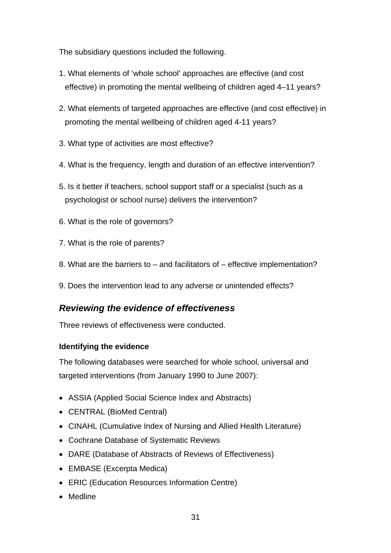The subsidiary questions included the following.

- 1. What elements of 'whole school' approaches are effective (and cost effective) in promoting the mental wellbeing of children aged 4–11 years?
- 2. What elements of targeted approaches are effective (and cost effective) in promoting the mental wellbeing of children aged 4-11 years?
- 3. What type of activities are most effective?
- 4. What is the frequency, length and duration of an effective intervention?
- 5. Is it better if teachers, school support staff or a specialist (such as a psychologist or school nurse) delivers the intervention?
- 6. What is the role of governors?
- 7. What is the role of parents?
- 8. What are the barriers to and facilitators of effective implementation?
- 9. Does the intervention lead to any adverse or unintended effects?

# *Reviewing the evidence of effectiveness*

Three reviews of effectiveness were conducted.

### **Identifying the evidence**

The following databases were searched for whole school, universal and targeted interventions (from January 1990 to June 2007):

- ASSIA (Applied Social Science Index and Abstracts)
- CENTRAL (BioMed Central)
- CINAHL (Cumulative Index of Nursing and Allied Health Literature)
- Cochrane Database of Systematic Reviews
- DARE (Database of Abstracts of Reviews of Effectiveness)
- EMBASE (Excerpta Medica)
- ERIC (Education Resources Information Centre)
- Medline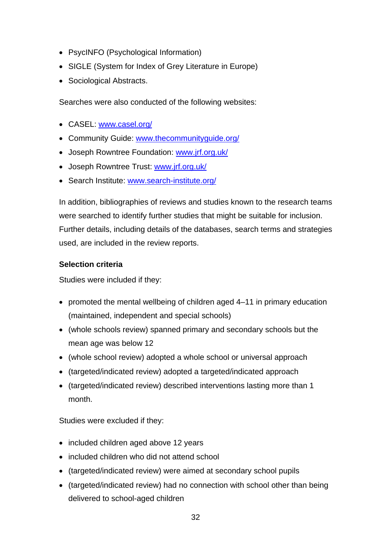- PsycINFO (Psychological Information)
- SIGLE (System for Index of Grey Literature in Europe)
- Sociological Abstracts.

Searches were also conducted of the following websites:

- CASEL: www.casel.org/
- Community Guide: www.thecommunityguide.org/
- Joseph Rowntree Foundation: www.jrf.org.uk/
- Joseph Rowntree Trust: www.jrf.org.uk/
- Search Institute: www.search-institute.org/

In addition, bibliographies of reviews and studies known to the research teams were searched to identify further studies that might be suitable for inclusion. Further details, including details of the databases, search terms and strategies used, are included in the review reports.

### **Selection criteria**

Studies were included if they:

- promoted the mental wellbeing of children aged 4–11 in primary education (maintained, independent and special schools)
- (whole schools review) spanned primary and secondary schools but the mean age was below 12
- (whole school review) adopted a whole school or universal approach
- (targeted/indicated review) adopted a targeted/indicated approach
- (targeted/indicated review) described interventions lasting more than 1 month.

Studies were excluded if they:

- included children aged above 12 years
- included children who did not attend school
- (targeted/indicated review) were aimed at secondary school pupils
- (targeted/indicated review) had no connection with school other than being delivered to school-aged children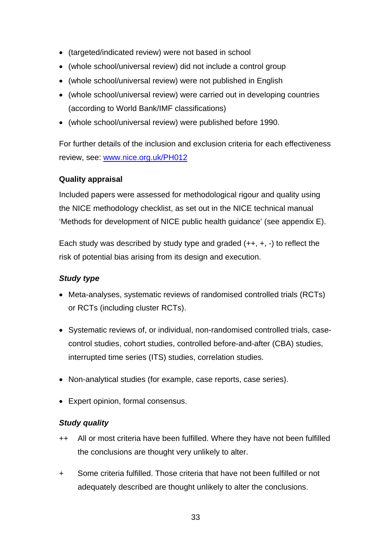- (targeted/indicated review) were not based in school
- (whole school/universal review) did not include a control group
- (whole school/universal review) were not published in English
- (whole school/universal review) were carried out in developing countries (according to World Bank/IMF classifications)
- (whole school/universal review) were published before 1990.

For further details of the inclusion and exclusion criteria for each effectiveness review, see: www.nice.org.uk/PH012

## **Quality appraisal**

Included papers were assessed for methodological rigour and quality using the NICE methodology checklist, as set out in the NICE technical manual 'Methods for development of NICE public health guidance' (see appendix E).

Each study was described by study type and graded  $(++, +, -)$  to reflect the risk of potential bias arising from its design and execution.

## *Study type*

- Meta-analyses, systematic reviews of randomised controlled trials (RCTs) or RCTs (including cluster RCTs).
- Systematic reviews of, or individual, non-randomised controlled trials, casecontrol studies, cohort studies, controlled before-and-after (CBA) studies, interrupted time series (ITS) studies, correlation studies.
- Non-analytical studies (for example, case reports, case series).
- Expert opinion, formal consensus.

## *Study quality*

- ++ All or most criteria have been fulfilled. Where they have not been fulfilled the conclusions are thought very unlikely to alter.
- + Some criteria fulfilled. Those criteria that have not been fulfilled or not adequately described are thought unlikely to alter the conclusions.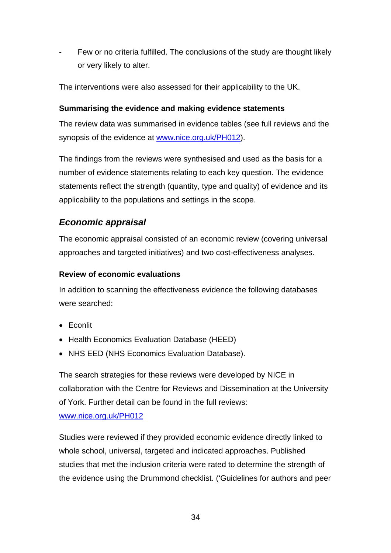Few or no criteria fulfilled. The conclusions of the study are thought likely or very likely to alter.

The interventions were also assessed for their applicability to the UK.

### **Summarising the evidence and making evidence statements**

The review data was summarised in evidence tables (see full reviews and the synopsis of the evidence at www.nice.org.uk/PH012).

The findings from the reviews were synthesised and used as the basis for a number of evidence statements relating to each key question. The evidence statements reflect the strength (quantity, type and quality) of evidence and its applicability to the populations and settings in the scope.

# *Economic appraisal*

The economic appraisal consisted of an economic review (covering universal approaches and targeted initiatives) and two cost-effectiveness analyses.

### **Review of economic evaluations**

In addition to scanning the effectiveness evidence the following databases were searched:

- Econlit
- Health Economics Evaluation Database (HEED)
- NHS EED (NHS Economics Evaluation Database).

The search strategies for these reviews were developed by NICE in collaboration with the Centre for Reviews and Dissemination at the University of York. Further detail can be found in the full reviews:

### www.nice.org.uk/PH012

Studies were reviewed if they provided economic evidence directly linked to whole school, universal, targeted and indicated approaches. Published studies that met the inclusion criteria were rated to determine the strength of the evidence using the Drummond checklist. ('Guidelines for authors and peer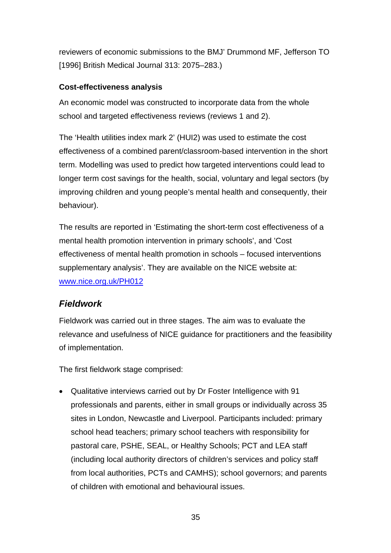reviewers of economic submissions to the BMJ' Drummond MF, Jefferson TO [1996] British Medical Journal 313: 2075–283.)

### **Cost-effectiveness analysis**

An economic model was constructed to incorporate data from the whole school and targeted effectiveness reviews (reviews 1 and 2).

The 'Health utilities index mark 2' (HUI2) was used to estimate the cost effectiveness of a combined parent/classroom-based intervention in the short term. Modelling was used to predict how targeted interventions could lead to longer term cost savings for the health, social, voluntary and legal sectors (by improving children and young people's mental health and consequently, their behaviour).

The results are reported in 'Estimating the short-term cost effectiveness of a mental health promotion intervention in primary schools', and 'Cost effectiveness of mental health promotion in schools – focused interventions supplementary analysis'. They are available on the NICE website at: www.nice.org.uk/PH012

# *Fieldwork*

Fieldwork was carried out in three stages. The aim was to evaluate the relevance and usefulness of NICE guidance for practitioners and the feasibility of implementation.

The first fieldwork stage comprised:

• Qualitative interviews carried out by Dr Foster Intelligence with 91 professionals and parents, either in small groups or individually across 35 sites in London, Newcastle and Liverpool. Participants included: primary school head teachers; primary school teachers with responsibility for pastoral care, PSHE, SEAL, or Healthy Schools; PCT and LEA staff (including local authority directors of children's services and policy staff from local authorities, PCTs and CAMHS); school governors; and parents of children with emotional and behavioural issues.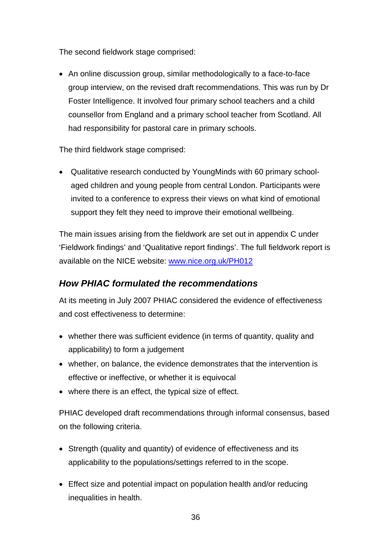The second fieldwork stage comprised:

• An online discussion group, similar methodologically to a face-to-face group interview, on the revised draft recommendations. This was run by Dr Foster Intelligence. It involved four primary school teachers and a child counsellor from England and a primary school teacher from Scotland. All had responsibility for pastoral care in primary schools.

The third fieldwork stage comprised:

• Qualitative research conducted by YoungMinds with 60 primary schoolaged children and young people from central London. Participants were invited to a conference to express their views on what kind of emotional support they felt they need to improve their emotional wellbeing.

The main issues arising from the fieldwork are set out in appendix C under 'Fieldwork findings' and 'Qualitative report findings'. The full fieldwork report is available on the NICE website: www.nice.org.uk/PH012

# *How PHIAC formulated the recommendations*

At its meeting in July 2007 PHIAC considered the evidence of effectiveness and cost effectiveness to determine:

- whether there was sufficient evidence (in terms of quantity, quality and applicability) to form a judgement
- whether, on balance, the evidence demonstrates that the intervention is effective or ineffective, or whether it is equivocal
- where there is an effect, the typical size of effect.

PHIAC developed draft recommendations through informal consensus, based on the following criteria.

- Strength (quality and quantity) of evidence of effectiveness and its applicability to the populations/settings referred to in the scope.
- Effect size and potential impact on population health and/or reducing inequalities in health.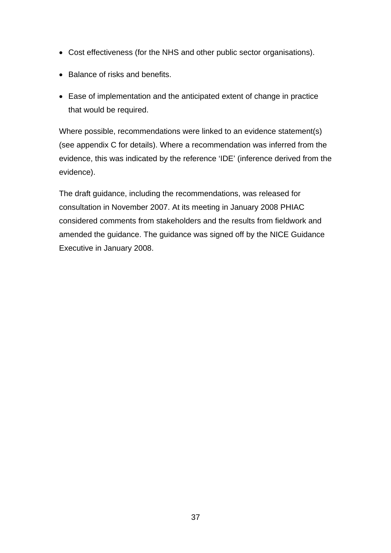- Cost effectiveness (for the NHS and other public sector organisations).
- Balance of risks and benefits.
- Ease of implementation and the anticipated extent of change in practice that would be required.

Where possible, recommendations were linked to an evidence statement(s) (see appendix C for details). Where a recommendation was inferred from the evidence, this was indicated by the reference 'IDE' (inference derived from the evidence).

The draft guidance, including the recommendations, was released for consultation in November 2007. At its meeting in January 2008 PHIAC considered comments from stakeholders and the results from fieldwork and amended the guidance. The guidance was signed off by the NICE Guidance Executive in January 2008.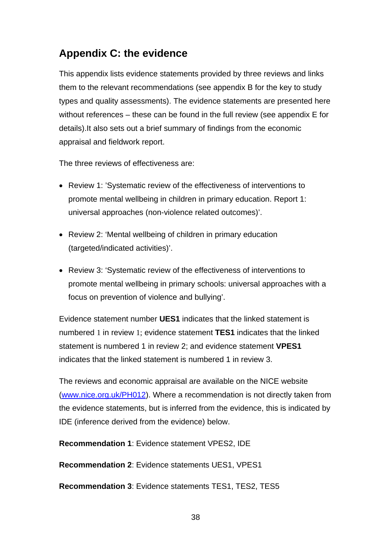# **Appendix C: the evidence**

This appendix lists evidence statements provided by three reviews and links them to the relevant recommendations (see appendix B for the key to study types and quality assessments). The evidence statements are presented here without references – these can be found in the full review (see appendix E for details).It also sets out a brief summary of findings from the economic appraisal and fieldwork report.

The three reviews of effectiveness are:

- Review 1: 'Systematic review of the effectiveness of interventions to promote mental wellbeing in children in primary education. Report 1: universal approaches (non-violence related outcomes)'.
- Review 2: 'Mental wellbeing of children in primary education (targeted/indicated activities)'.
- Review 3: 'Systematic review of the effectiveness of interventions to promote mental wellbeing in primary schools: universal approaches with a focus on prevention of violence and bullying'.

Evidence statement number **UES1** indicates that the linked statement is numbered 1 in review 1; evidence statement **TES1** indicates that the linked statement is numbered 1 in review 2; and evidence statement **VPES1**  indicates that the linked statement is numbered 1 in review 3.

The reviews and economic appraisal are available on the NICE website (www.nice.org.uk/PH012). Where a recommendation is not directly taken from the evidence statements, but is inferred from the evidence, this is indicated by IDE (inference derived from the evidence) below.

**Recommendation 1**: Evidence statement VPES2, IDE

**Recommendation 2**: Evidence statements UES1, VPES1

**Recommendation 3**: Evidence statements TES1, TES2, TES5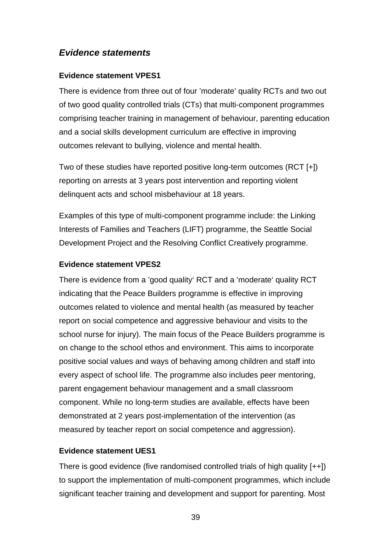## *Evidence statements*

#### **Evidence statement VPES1**

There is evidence from three out of four 'moderate' quality RCTs and two out of two good quality controlled trials (CTs) that multi-component programmes comprising teacher training in management of behaviour, parenting education and a social skills development curriculum are effective in improving outcomes relevant to bullying, violence and mental health.

Two of these studies have reported positive long-term outcomes (RCT [+]) reporting on arrests at 3 years post intervention and reporting violent delinquent acts and school misbehaviour at 18 years.

Examples of this type of multi-component programme include: the Linking Interests of Families and Teachers (LIFT) programme, the Seattle Social Development Project and the Resolving Conflict Creatively programme.

#### **Evidence statement VPES2**

There is evidence from a 'good quality' RCT and a 'moderate' quality RCT indicating that the Peace Builders programme is effective in improving outcomes related to violence and mental health (as measured by teacher report on social competence and aggressive behaviour and visits to the school nurse for injury). The main focus of the Peace Builders programme is on change to the school ethos and environment. This aims to incorporate positive social values and ways of behaving among children and staff into every aspect of school life. The programme also includes peer mentoring, parent engagement behaviour management and a small classroom component. While no long-term studies are available, effects have been demonstrated at 2 years post-implementation of the intervention (as measured by teacher report on social competence and aggression).

### **Evidence statement UES1**

There is good evidence (five randomised controlled trials of high quality  $[++]$ ) to support the implementation of multi-component programmes, which include significant teacher training and development and support for parenting. Most

39 and the contract of the contract of the contract of the contract of the contract of the contract of the con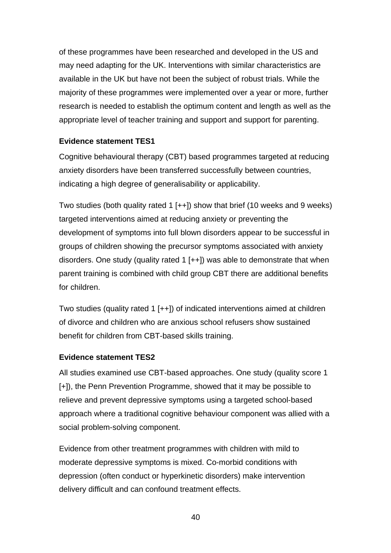of these programmes have been researched and developed in the US and may need adapting for the UK. Interventions with similar characteristics are available in the UK but have not been the subject of robust trials. While the majority of these programmes were implemented over a year or more, further research is needed to establish the optimum content and length as well as the appropriate level of teacher training and support and support for parenting.

#### **Evidence statement TES1**

Cognitive behavioural therapy (CBT) based programmes targeted at reducing anxiety disorders have been transferred successfully between countries, indicating a high degree of generalisability or applicability.

Two studies (both quality rated 1  $[++]$ ) show that brief (10 weeks and 9 weeks) targeted interventions aimed at reducing anxiety or preventing the development of symptoms into full blown disorders appear to be successful in groups of children showing the precursor symptoms associated with anxiety disorders. One study (quality rated 1  $[++]$ ) was able to demonstrate that when parent training is combined with child group CBT there are additional benefits for children.

Two studies (quality rated 1 [++]) of indicated interventions aimed at children of divorce and children who are anxious school refusers show sustained benefit for children from CBT-based skills training.

#### **Evidence statement TES2**

All studies examined use CBT-based approaches. One study (quality score 1 [+]), the Penn Prevention Programme, showed that it may be possible to relieve and prevent depressive symptoms using a targeted school-based approach where a traditional cognitive behaviour component was allied with a social problem-solving component.

Evidence from other treatment programmes with children with mild to moderate depressive symptoms is mixed. Co-morbid conditions with depression (often conduct or hyperkinetic disorders) make intervention delivery difficult and can confound treatment effects.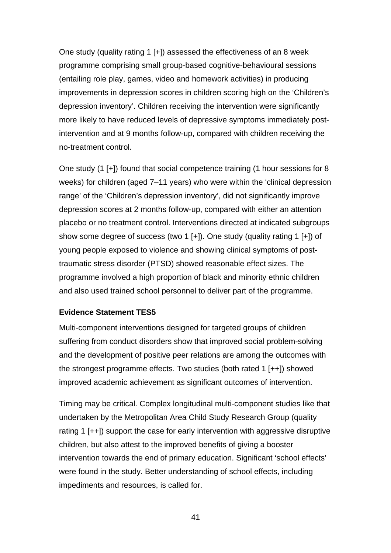One study (quality rating 1 [+]) assessed the effectiveness of an 8 week programme comprising small group-based cognitive-behavioural sessions (entailing role play, games, video and homework activities) in producing improvements in depression scores in children scoring high on the 'Children's depression inventory'. Children receiving the intervention were significantly more likely to have reduced levels of depressive symptoms immediately postintervention and at 9 months follow-up, compared with children receiving the no-treatment control.

One study (1 [+]) found that social competence training (1 hour sessions for 8 weeks) for children (aged 7–11 years) who were within the 'clinical depression range' of the 'Children's depression inventory', did not significantly improve depression scores at 2 months follow-up, compared with either an attention placebo or no treatment control. Interventions directed at indicated subgroups show some degree of success (two 1 [+]). One study (quality rating 1 [+]) of young people exposed to violence and showing clinical symptoms of posttraumatic stress disorder (PTSD) showed reasonable effect sizes. The programme involved a high proportion of black and minority ethnic children and also used trained school personnel to deliver part of the programme.

#### **Evidence Statement TES5**

Multi-component interventions designed for targeted groups of children suffering from conduct disorders show that improved social problem-solving and the development of positive peer relations are among the outcomes with the strongest programme effects. Two studies (both rated 1 [++]) showed improved academic achievement as significant outcomes of intervention.

Timing may be critical. Complex longitudinal multi-component studies like that undertaken by the Metropolitan Area Child Study Research Group (quality rating 1  $[++]$ ) support the case for early intervention with aggressive disruptive children, but also attest to the improved benefits of giving a booster intervention towards the end of primary education. Significant 'school effects' were found in the study. Better understanding of school effects, including impediments and resources, is called for.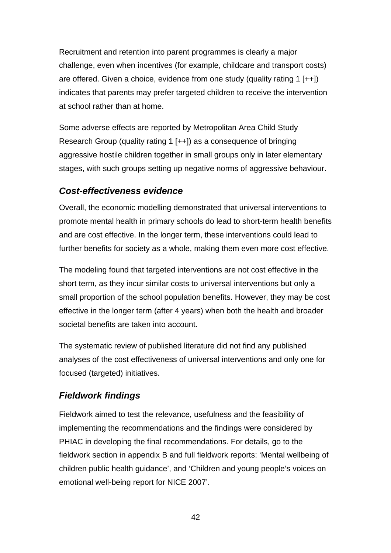Recruitment and retention into parent programmes is clearly a major challenge, even when incentives (for example, childcare and transport costs) are offered. Given a choice, evidence from one study (quality rating 1  $[++]$ ) indicates that parents may prefer targeted children to receive the intervention at school rather than at home.

Some adverse effects are reported by Metropolitan Area Child Study Research Group (quality rating 1 [++]) as a consequence of bringing aggressive hostile children together in small groups only in later elementary stages, with such groups setting up negative norms of aggressive behaviour.

# *Cost-effectiveness evidence*

Overall, the economic modelling demonstrated that universal interventions to promote mental health in primary schools do lead to short-term health benefits and are cost effective. In the longer term, these interventions could lead to further benefits for society as a whole, making them even more cost effective.

The modeling found that targeted interventions are not cost effective in the short term, as they incur similar costs to universal interventions but only a small proportion of the school population benefits. However, they may be cost effective in the longer term (after 4 years) when both the health and broader societal benefits are taken into account.

The systematic review of published literature did not find any published analyses of the cost effectiveness of universal interventions and only one for focused (targeted) initiatives.

# *Fieldwork findings*

Fieldwork aimed to test the relevance, usefulness and the feasibility of implementing the recommendations and the findings were considered by PHIAC in developing the final recommendations. For details, go to the fieldwork section in appendix B and full fieldwork reports: 'Mental wellbeing of children public health guidance', and 'Children and young people's voices on emotional well-being report for NICE 2007'.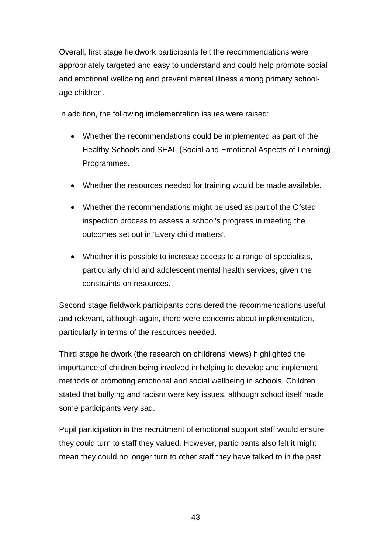Overall, first stage fieldwork participants felt the recommendations were appropriately targeted and easy to understand and could help promote social and emotional wellbeing and prevent mental illness among primary schoolage children.

In addition, the following implementation issues were raised:

- Whether the recommendations could be implemented as part of the Healthy Schools and SEAL (Social and Emotional Aspects of Learning) Programmes.
- Whether the resources needed for training would be made available.
- Whether the recommendations might be used as part of the Ofsted inspection process to assess a school's progress in meeting the outcomes set out in 'Every child matters'.
- Whether it is possible to increase access to a range of specialists, particularly child and adolescent mental health services, given the constraints on resources.

Second stage fieldwork participants considered the recommendations useful and relevant, although again, there were concerns about implementation, particularly in terms of the resources needed.

Third stage fieldwork (the research on childrens' views) highlighted the importance of children being involved in helping to develop and implement methods of promoting emotional and social wellbeing in schools. Children stated that bullying and racism were key issues, although school itself made some participants very sad.

Pupil participation in the recruitment of emotional support staff would ensure they could turn to staff they valued. However, participants also felt it might mean they could no longer turn to other staff they have talked to in the past.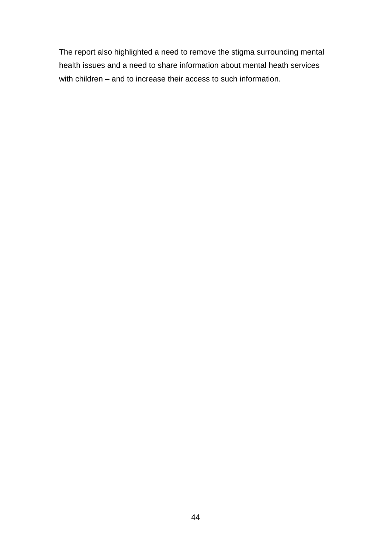The report also highlighted a need to remove the stigma surrounding mental health issues and a need to share information about mental heath services with children – and to increase their access to such information.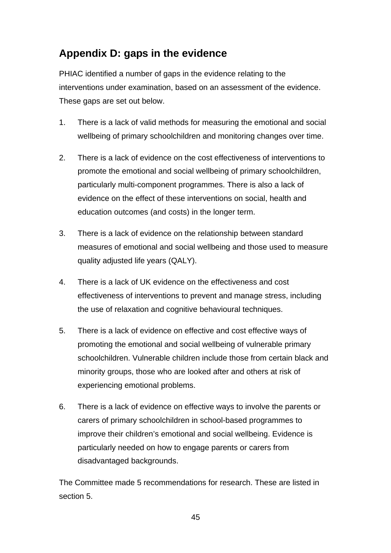# **Appendix D: gaps in the evidence**

PHIAC identified a number of gaps in the evidence relating to the interventions under examination, based on an assessment of the evidence. These gaps are set out below.

- 1. There is a lack of valid methods for measuring the emotional and social wellbeing of primary schoolchildren and monitoring changes over time.
- 2. There is a lack of evidence on the cost effectiveness of interventions to promote the emotional and social wellbeing of primary schoolchildren, particularly multi-component programmes. There is also a lack of evidence on the effect of these interventions on social, health and education outcomes (and costs) in the longer term.
- 3. There is a lack of evidence on the relationship between standard measures of emotional and social wellbeing and those used to measure quality adjusted life years (QALY).
- 4. There is a lack of UK evidence on the effectiveness and cost effectiveness of interventions to prevent and manage stress, including the use of relaxation and cognitive behavioural techniques.
- 5. There is a lack of evidence on effective and cost effective ways of promoting the emotional and social wellbeing of vulnerable primary schoolchildren. Vulnerable children include those from certain black and minority groups, those who are looked after and others at risk of experiencing emotional problems.
- 6. There is a lack of evidence on effective ways to involve the parents or carers of primary schoolchildren in school-based programmes to improve their children's emotional and social wellbeing. Evidence is particularly needed on how to engage parents or carers from disadvantaged backgrounds.

The Committee made 5 recommendations for research. These are listed in section 5.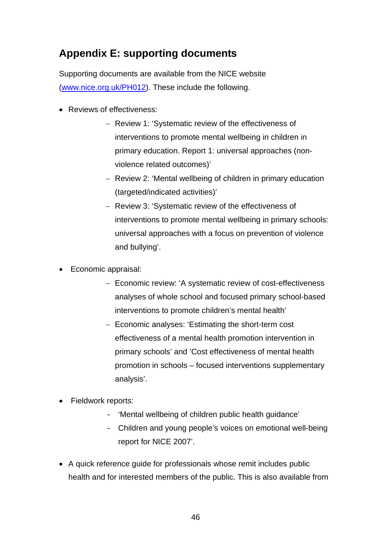# **Appendix E: supporting documents**

Supporting documents are available from the NICE website (www.nice.org.uk/PH012). These include the following.

- Reviews of effectiveness:
	- − Review 1: 'Systematic review of the effectiveness of interventions to promote mental wellbeing in children in primary education. Report 1: universal approaches (nonviolence related outcomes)'
	- − Review 2: 'Mental wellbeing of children in primary education (targeted/indicated activities)'
	- − Review 3: 'Systematic review of the effectiveness of interventions to promote mental wellbeing in primary schools: universal approaches with a focus on prevention of violence and bullying'.
- Economic appraisal:
	- − Economic review: 'A systematic review of cost-effectiveness analyses of whole school and focused primary school-based interventions to promote children's mental health'
	- − Economic analyses: 'Estimating the short-term cost effectiveness of a mental health promotion intervention in primary schools' and 'Cost effectiveness of mental health promotion in schools – focused interventions supplementary analysis'.
- Fieldwork reports:
	- 'Mental wellbeing of children public health guidance'
	- Children and young people's voices on emotional well-being report for NICE 2007'.
- A quick reference guide for professionals whose remit includes public health and for interested members of the public. This is also available from